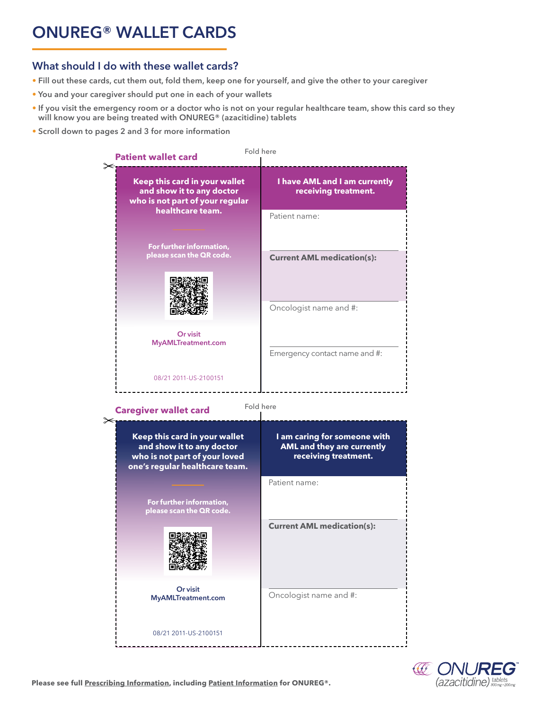# **ONUREG® WALLET CARDS**

# **What should I do with these wallet cards?**

- **Fill out these cards, cut them out, fold them, keep one for yourself, and give the other to your caregiver**
- **You and your caregiver should put one in each of your wallets**
- **• If you visit the emergency room or a doctor who is not on your regular healthcare team, show this card so they will know you are being treated with ONUREG® (azacitidine) tablets**
- **Scroll down to pages 2 and 3 for more information**



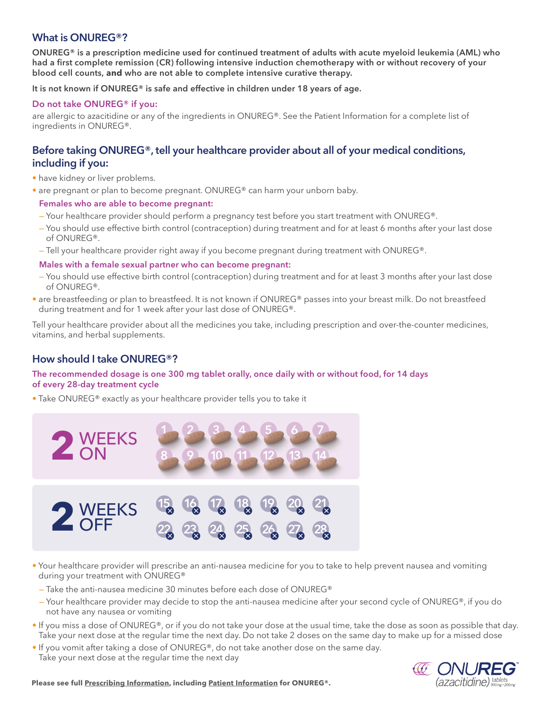## **What is ONUREG®?**

**ONUREG® is a prescription medicine used for continued treatment of adults with acute myeloid leukemia (AML) who had a first complete remission (CR) following intensive induction chemotherapy with or without recovery of your blood cell counts, and who are not able to complete intensive curative therapy.**

**It is not known if ONUREG® is safe and effective in children under 18 years of age.**

#### **Do not take ONUREG® if you:**

are allergic to azacitidine or any of the ingredients in ONUREG®. See the Patient Information for a complete list of ingredients in ONUREG®.

# **Before taking ONUREG®, tell your healthcare provider about all of your medical conditions, including if you:**

- have kidney or liver problems.
- are pregnant or plan to become pregnant. ONUREG® can harm your unborn baby.
- **Females who are able to become pregnant:**
- Your healthcare provider should perform a pregnancy test before you start treatment with ONUREG®.
- You should use effective birth control (contraception) during treatment and for at least 6 months after your last dose of ONUREG®.
- Tell your healthcare provider right away if you become pregnant during treatment with ONUREG®.

#### **Males with a female sexual partner who can become pregnant:**

- You should use effective birth control (contraception) during treatment and for at least 3 months after your last dose of ONUREG®.
- are breastfeeding or plan to breastfeed. It is not known if ONUREG® passes into your breast milk. Do not breastfeed during treatment and for 1 week after your last dose of ONUREG®.

Tell your healthcare provider about all the medicines you take, including prescription and over-the-counter medicines, vitamins, and herbal supplements.

## **How should I take ONUREG®?**

#### **The recommended dosage is one 300 mg tablet orally, once daily with or without food, for 14 days of every 28-day treatment cycle**

• Take ONUREG® exactly as your healthcare provider tells you to take it



- Your healthcare provider will prescribe an anti-nausea medicine for you to take to help prevent nausea and vomiting during your treatment with ONUREG®
- Take the anti-nausea medicine 30 minutes before each dose of ONUREG®
- Your healthcare provider may decide to stop the anti-nausea medicine after your second cycle of ONUREG®, if you do not have any nausea or vomiting
- If you miss a dose of ONUREG®, or if you do not take your dose at the usual time, take the dose as soon as possible that day. Take your next dose at the regular time the next day. Do not take 2 doses on the same day to make up for a missed dose
- If you vomit after taking a dose of ONUREG®, do not take another dose on the same day. Take your next dose at the regular time the next day



**Please see ful[l Prescribing Information, i](https://packageinserts.bms.com/pi/pi_onureg.pdf)ncludin[g Patient Information f](https://packageinserts.bms.com/ppi/ppi_onureg.pdf)or ONUREG®.**